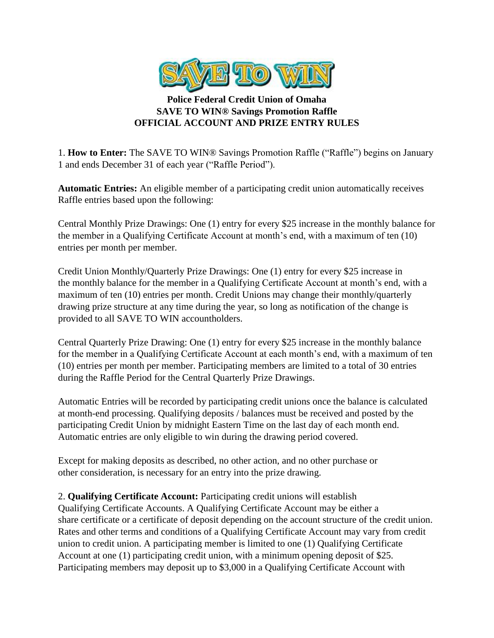

## **Police Federal Credit Union of Omaha SAVE TO WIN® Savings Promotion Raffle OFFICIAL ACCOUNT AND PRIZE ENTRY RULES**

1. **How to Enter:** The SAVE TO WIN® Savings Promotion Raffle ("Raffle") begins on January 1 and ends December 31 of each year ("Raffle Period").

**Automatic Entries:** An eligible member of a participating credit union automatically receives Raffle entries based upon the following:

Central Monthly Prize Drawings: One (1) entry for every \$25 increase in the monthly balance for the member in a Qualifying Certificate Account at month's end, with a maximum of ten (10) entries per month per member.

Credit Union Monthly/Quarterly Prize Drawings: One (1) entry for every \$25 increase in the monthly balance for the member in a Qualifying Certificate Account at month's end, with a maximum of ten (10) entries per month. Credit Unions may change their monthly/quarterly drawing prize structure at any time during the year, so long as notification of the change is provided to all SAVE TO WIN accountholders.

Central Quarterly Prize Drawing: One (1) entry for every \$25 increase in the monthly balance for the member in a Qualifying Certificate Account at each month's end, with a maximum of ten (10) entries per month per member. Participating members are limited to a total of 30 entries during the Raffle Period for the Central Quarterly Prize Drawings.

Automatic Entries will be recorded by participating credit unions once the balance is calculated at month-end processing. Qualifying deposits / balances must be received and posted by the participating Credit Union by midnight Eastern Time on the last day of each month end. Automatic entries are only eligible to win during the drawing period covered.

Except for making deposits as described, no other action, and no other purchase or other consideration, is necessary for an entry into the prize drawing.

2. **Qualifying Certificate Account:** Participating credit unions will establish Qualifying Certificate Accounts. A Qualifying Certificate Account may be either a share certificate or a certificate of deposit depending on the account structure of the credit union. Rates and other terms and conditions of a Qualifying Certificate Account may vary from credit union to credit union. A participating member is limited to one (1) Qualifying Certificate Account at one (1) participating credit union, with a minimum opening deposit of \$25. Participating members may deposit up to \$3,000 in a Qualifying Certificate Account with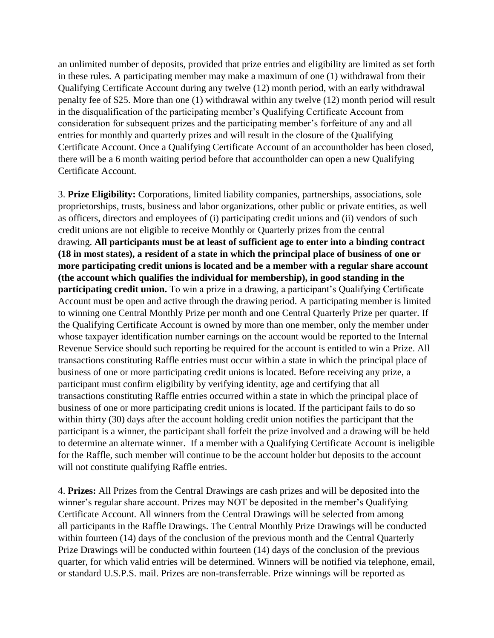an unlimited number of deposits, provided that prize entries and eligibility are limited as set forth in these rules. A participating member may make a maximum of one (1) withdrawal from their Qualifying Certificate Account during any twelve (12) month period, with an early withdrawal penalty fee of \$25. More than one (1) withdrawal within any twelve (12) month period will result in the disqualification of the participating member's Qualifying Certificate Account from consideration for subsequent prizes and the participating member's forfeiture of any and all entries for monthly and quarterly prizes and will result in the closure of the Qualifying Certificate Account. Once a Qualifying Certificate Account of an accountholder has been closed, there will be a 6 month waiting period before that accountholder can open a new Qualifying Certificate Account.

3. **Prize Eligibility:** Corporations, limited liability companies, partnerships, associations, sole proprietorships, trusts, business and labor organizations, other public or private entities, as well as officers, directors and employees of (i) participating credit unions and (ii) vendors of such credit unions are not eligible to receive Monthly or Quarterly prizes from the central drawing. **All participants must be at least of sufficient age to enter into a binding contract (18 in most states), a resident of a state in which the principal place of business of one or more participating credit unions is located and be a member with a regular share account (the account which qualifies the individual for membership), in good standing in the participating credit union.** To win a prize in a drawing, a participant's Qualifying Certificate Account must be open and active through the drawing period. A participating member is limited to winning one Central Monthly Prize per month and one Central Quarterly Prize per quarter. If the Qualifying Certificate Account is owned by more than one member, only the member under whose taxpayer identification number earnings on the account would be reported to the Internal Revenue Service should such reporting be required for the account is entitled to win a Prize. All transactions constituting Raffle entries must occur within a state in which the principal place of business of one or more participating credit unions is located. Before receiving any prize, a participant must confirm eligibility by verifying identity, age and certifying that all transactions constituting Raffle entries occurred within a state in which the principal place of business of one or more participating credit unions is located. If the participant fails to do so within thirty (30) days after the account holding credit union notifies the participant that the participant is a winner, the participant shall forfeit the prize involved and a drawing will be held to determine an alternate winner. If a member with a Qualifying Certificate Account is ineligible for the Raffle, such member will continue to be the account holder but deposits to the account will not constitute qualifying Raffle entries.

4. **Prizes:** All Prizes from the Central Drawings are cash prizes and will be deposited into the winner's regular share account. Prizes may NOT be deposited in the member's Qualifying Certificate Account. All winners from the Central Drawings will be selected from among all participants in the Raffle Drawings. The Central Monthly Prize Drawings will be conducted within fourteen (14) days of the conclusion of the previous month and the Central Quarterly Prize Drawings will be conducted within fourteen (14) days of the conclusion of the previous quarter, for which valid entries will be determined. Winners will be notified via telephone, email, or standard U.S.P.S. mail. Prizes are non-transferrable. Prize winnings will be reported as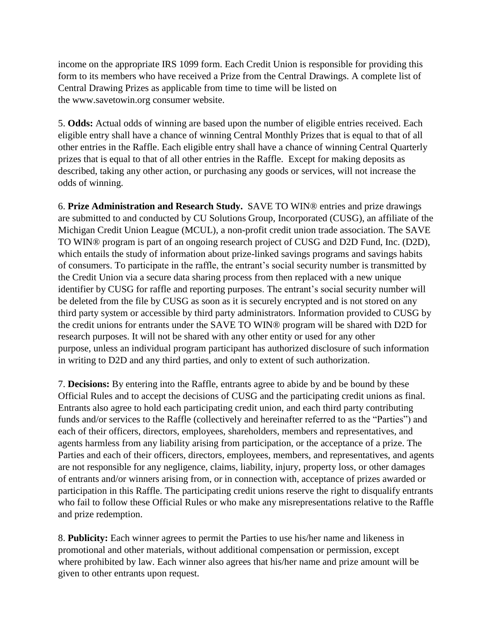income on the appropriate IRS 1099 form. Each Credit Union is responsible for providing this form to its members who have received a Prize from the Central Drawings. A complete list of Central Drawing Prizes as applicable from time to time will be listed on the www.savetowin.org consumer website.

5. **Odds:** Actual odds of winning are based upon the number of eligible entries received. Each eligible entry shall have a chance of winning Central Monthly Prizes that is equal to that of all other entries in the Raffle. Each eligible entry shall have a chance of winning Central Quarterly prizes that is equal to that of all other entries in the Raffle. Except for making deposits as described, taking any other action, or purchasing any goods or services, will not increase the odds of winning.

6. **Prize Administration and Research Study.** SAVE TO WIN® entries and prize drawings are submitted to and conducted by CU Solutions Group, Incorporated (CUSG), an affiliate of the Michigan Credit Union League (MCUL), a non-profit credit union trade association. The SAVE TO WIN® program is part of an ongoing research project of CUSG and D2D Fund, Inc. (D2D), which entails the study of information about prize-linked savings programs and savings habits of consumers. To participate in the raffle, the entrant's social security number is transmitted by the Credit Union via a secure data sharing process from then replaced with a new unique identifier by CUSG for raffle and reporting purposes. The entrant's social security number will be deleted from the file by CUSG as soon as it is securely encrypted and is not stored on any third party system or accessible by third party administrators. Information provided to CUSG by the credit unions for entrants under the SAVE TO WIN® program will be shared with D2D for research purposes. It will not be shared with any other entity or used for any other purpose, unless an individual program participant has authorized disclosure of such information in writing to D2D and any third parties, and only to extent of such authorization.

7. **Decisions:** By entering into the Raffle, entrants agree to abide by and be bound by these Official Rules and to accept the decisions of CUSG and the participating credit unions as final. Entrants also agree to hold each participating credit union, and each third party contributing funds and/or services to the Raffle (collectively and hereinafter referred to as the "Parties") and each of their officers, directors, employees, shareholders, members and representatives, and agents harmless from any liability arising from participation, or the acceptance of a prize. The Parties and each of their officers, directors, employees, members, and representatives, and agents are not responsible for any negligence, claims, liability, injury, property loss, or other damages of entrants and/or winners arising from, or in connection with, acceptance of prizes awarded or participation in this Raffle. The participating credit unions reserve the right to disqualify entrants who fail to follow these Official Rules or who make any misrepresentations relative to the Raffle and prize redemption.

8. **Publicity:** Each winner agrees to permit the Parties to use his/her name and likeness in promotional and other materials, without additional compensation or permission, except where prohibited by law. Each winner also agrees that his/her name and prize amount will be given to other entrants upon request.